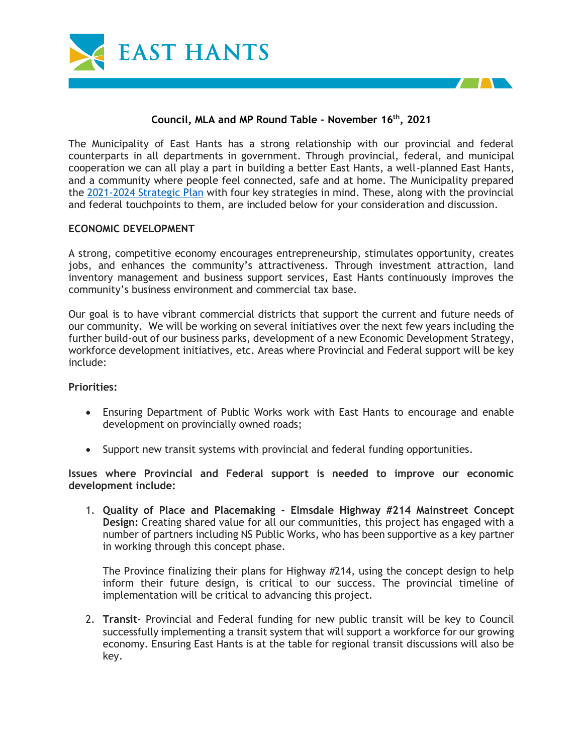



The Municipality of East Hants has a strong relationship with our provincial and federal counterparts in all departments in government. Through provincial, federal, and municipal cooperation we can all play a part in building a better East Hants, a well-planned East Hants, and a community where people feel connected, safe and at home. The Municipality prepared the [2021-2024 Strategic Plan](chrome-extension://efaidnbmnnnibpcajpcglclefindmkaj/viewer.html?pdfurl=https%3A%2F%2Fwww.easthants.ca%2Fwp-content%2Fuploads%2F2021%2F07%2F2021-Strategic-Plan_FINAL_web.pdf&clen=7320763&chunk=true) with four key strategies in mind. These, along with the provincial and federal touchpoints to them, are included below for your consideration and discussion.

### **ECONOMIC DEVELOPMENT**

A strong, competitive economy encourages entrepreneurship, stimulates opportunity, creates jobs, and enhances the community's attractiveness. Through investment attraction, land inventory management and business support services, East Hants continuously improves the community's business environment and commercial tax base.

Our goal is to have vibrant commercial districts that support the current and future needs of our community. We will be working on several initiatives over the next few years including the further build-out of our business parks, development of a new Economic Development Strategy, workforce development initiatives, etc. Areas where Provincial and Federal support will be key include:

### **Priorities:**

- Ensuring Department of Public Works work with East Hants to encourage and enable development on provincially owned roads;
- Support new transit systems with provincial and federal funding opportunities.

**Issues where Provincial and Federal support is needed to improve our economic development include:**

1. **Quality of Place and Placemaking - Elmsdale Highway #214 Mainstreet Concept Design:** Creating shared value for all our communities, this project has engaged with a number of partners including NS Public Works, who has been supportive as a key partner in working through this concept phase.

The Province finalizing their plans for Highway #214, using the concept design to help inform their future design, is critical to our success. The provincial timeline of implementation will be critical to advancing this project.

2. **Transit**- Provincial and Federal funding for new public transit will be key to Council successfully implementing a transit system that will support a workforce for our growing economy. Ensuring East Hants is at the table for regional transit discussions will also be key.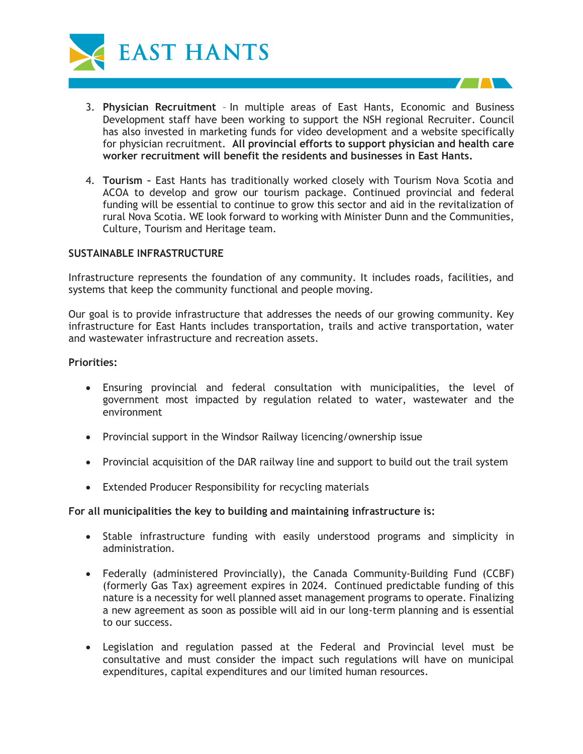

- 3. **Physician Recruitment**  In multiple areas of East Hants, Economic and Business Development staff have been working to support the NSH regional Recruiter. Council has also invested in marketing funds for video development and a website specifically for physician recruitment. **All provincial efforts to support physician and health care worker recruitment will benefit the residents and businesses in East Hants.**
- 4. **Tourism –** East Hants has traditionally worked closely with Tourism Nova Scotia and ACOA to develop and grow our tourism package. Continued provincial and federal funding will be essential to continue to grow this sector and aid in the revitalization of rural Nova Scotia. WE look forward to working with Minister Dunn and the Communities, Culture, Tourism and Heritage team.

## **SUSTAINABLE INFRASTRUCTURE**

Infrastructure represents the foundation of any community. It includes roads, facilities, and systems that keep the community functional and people moving.

Our goal is to provide infrastructure that addresses the needs of our growing community. Key infrastructure for East Hants includes transportation, trails and active transportation, water and wastewater infrastructure and recreation assets.

#### **Priorities:**

- Ensuring provincial and federal consultation with municipalities, the level of government most impacted by regulation related to water, wastewater and the environment
- Provincial support in the Windsor Railway licencing/ownership issue
- Provincial acquisition of the DAR railway line and support to build out the trail system
- Extended Producer Responsibility for recycling materials

### **For all municipalities the key to building and maintaining infrastructure is:**

- Stable infrastructure funding with easily understood programs and simplicity in administration.
- Federally (administered Provincially), the Canada Community-Building Fund (CCBF) (formerly Gas Tax) agreement expires in 2024. Continued predictable funding of this nature is a necessity for well planned asset management programs to operate. Finalizing a new agreement as soon as possible will aid in our long-term planning and is essential to our success.
- Legislation and regulation passed at the Federal and Provincial level must be consultative and must consider the impact such regulations will have on municipal expenditures, capital expenditures and our limited human resources.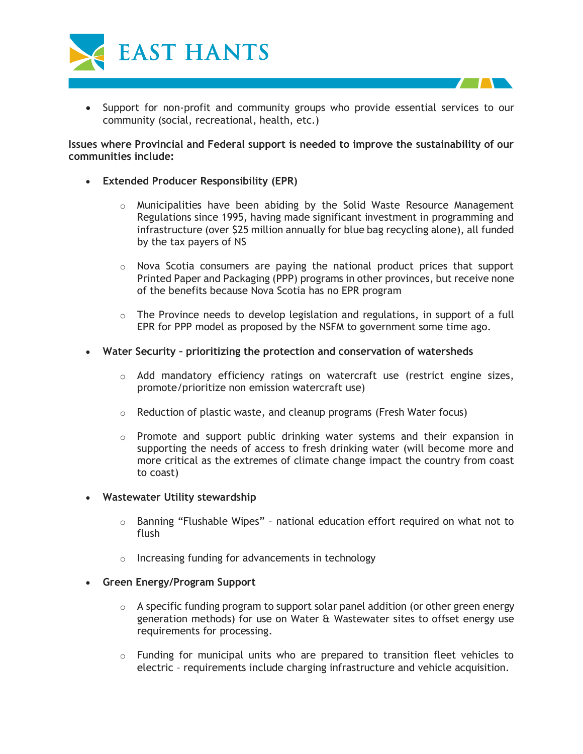

• Support for non-profit and community groups who provide essential services to our community (social, recreational, health, etc.)

## **Issues where Provincial and Federal support is needed to improve the sustainability of our communities include:**

- **Extended Producer Responsibility (EPR)**
	- $\circ$  Municipalities have been abiding by the Solid Waste Resource Management Regulations since 1995, having made significant investment in programming and infrastructure (over \$25 million annually for blue bag recycling alone), all funded by the tax payers of NS
	- $\circ$  Nova Scotia consumers are paying the national product prices that support Printed Paper and Packaging (PPP) programs in other provinces, but receive none of the benefits because Nova Scotia has no EPR program
	- $\circ$  The Province needs to develop legislation and regulations, in support of a full EPR for PPP model as proposed by the NSFM to government some time ago.
- **Water Security – prioritizing the protection and conservation of watersheds**
	- $\circ$  Add mandatory efficiency ratings on watercraft use (restrict engine sizes, promote/prioritize non emission watercraft use)
	- $\circ$  Reduction of plastic waste, and cleanup programs (Fresh Water focus)
	- $\circ$  Promote and support public drinking water systems and their expansion in supporting the needs of access to fresh drinking water (will become more and more critical as the extremes of climate change impact the country from coast to coast)
- **Wastewater Utility stewardship**
	- o Banning "Flushable Wipes" national education effort required on what not to flush
	- o Increasing funding for advancements in technology
- **Green Energy/Program Support**
	- $\circ$  A specific funding program to support solar panel addition (or other green energy generation methods) for use on Water & Wastewater sites to offset energy use requirements for processing.
	- $\circ$  Funding for municipal units who are prepared to transition fleet vehicles to electric – requirements include charging infrastructure and vehicle acquisition.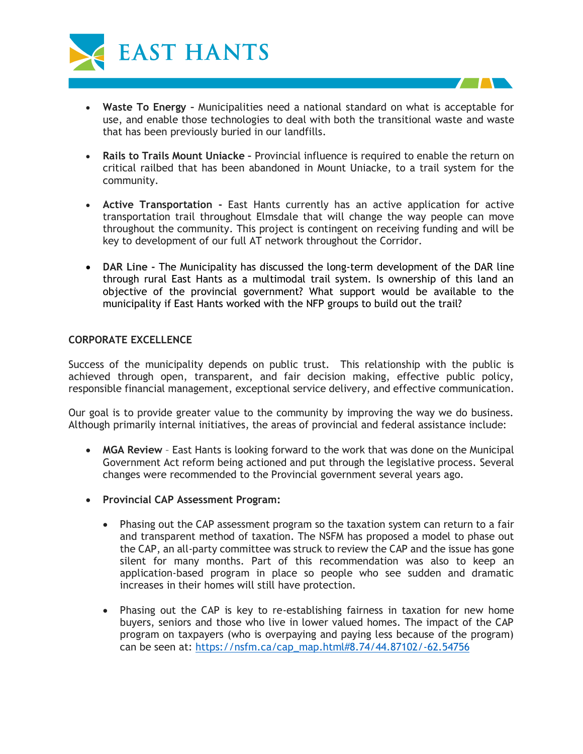

- **Waste To Energy –** Municipalities need a national standard on what is acceptable for use, and enable those technologies to deal with both the transitional waste and waste that has been previously buried in our landfills.
- **Rails to Trails Mount Uniacke –** Provincial influence is required to enable the return on critical railbed that has been abandoned in Mount Uniacke, to a trail system for the community.
- **Active Transportation -** East Hants currently has an active application for active transportation trail throughout Elmsdale that will change the way people can move throughout the community. This project is contingent on receiving funding and will be key to development of our full AT network throughout the Corridor.
- **DAR Line -** The Municipality has discussed the long-term development of the DAR line through rural East Hants as a multimodal trail system. Is ownership of this land an objective of the provincial government? What support would be available to the municipality if East Hants worked with the NFP groups to build out the trail?

## **CORPORATE EXCELLENCE**

Success of the municipality depends on public trust. This relationship with the public is achieved through open, transparent, and fair decision making, effective public policy, responsible financial management, exceptional service delivery, and effective communication.

Our goal is to provide greater value to the community by improving the way we do business. Although primarily internal initiatives, the areas of provincial and federal assistance include:

- **MGA Review**  East Hants is looking forward to the work that was done on the Municipal Government Act reform being actioned and put through the legislative process. Several changes were recommended to the Provincial government several years ago.
- **Provincial CAP Assessment Program:**
	- Phasing out the CAP assessment program so the taxation system can return to a fair and transparent method of taxation. The NSFM has proposed a model to phase out the CAP, an all-party committee was struck to review the CAP and the issue has gone silent for many months. Part of this recommendation was also to keep an application-based program in place so people who see sudden and dramatic increases in their homes will still have protection.
	- Phasing out the CAP is key to re-establishing fairness in taxation for new home buyers, seniors and those who live in lower valued homes. The impact of the CAP program on taxpayers (who is overpaying and paying less because of the program) can be seen at: [https://nsfm.ca/cap\\_map.html#8.74/44.87102/-62.54756](https://nsfm.ca/cap_map.html#8.74/44.87102/-62.54756)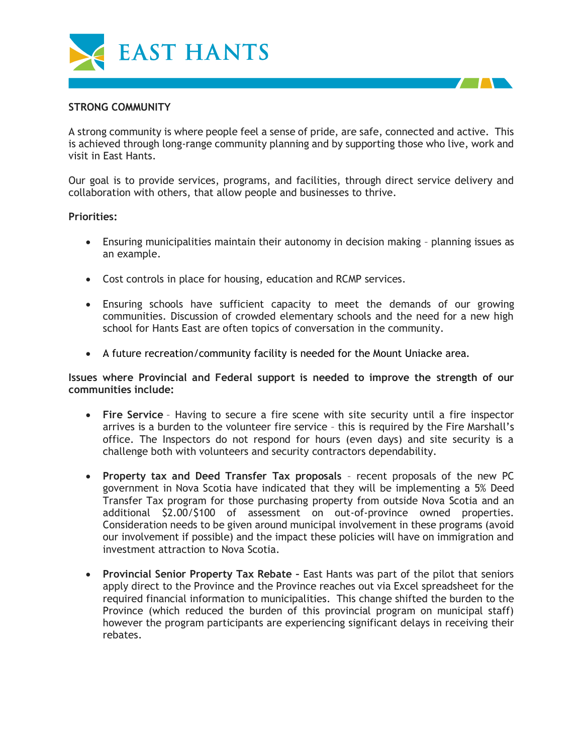

# **STRONG COMMUNITY**

A strong community is where people feel a sense of pride, are safe, connected and active. This is achieved through long-range community planning and by supporting those who live, work and visit in East Hants.

Our goal is to provide services, programs, and facilities, through direct service delivery and collaboration with others, that allow people and businesses to thrive.

### **Priorities:**

- Ensuring municipalities maintain their autonomy in decision making planning issues as an example.
- Cost controls in place for housing, education and RCMP services.
- Ensuring schools have sufficient capacity to meet the demands of our growing communities. Discussion of crowded elementary schools and the need for a new high school for Hants East are often topics of conversation in the community.
- A future recreation/community facility is needed for the Mount Uniacke area.

**Issues where Provincial and Federal support is needed to improve the strength of our communities include:**

- **Fire Service** Having to secure a fire scene with site security until a fire inspector arrives is a burden to the volunteer fire service – this is required by the Fire Marshall's office. The Inspectors do not respond for hours (even days) and site security is a challenge both with volunteers and security contractors dependability.
- **Property tax and Deed Transfer Tax proposals**  recent proposals of the new PC government in Nova Scotia have indicated that they will be implementing a 5% Deed Transfer Tax program for those purchasing property from outside Nova Scotia and an additional \$2.00/\$100 of assessment on out-of-province owned properties. Consideration needs to be given around municipal involvement in these programs (avoid our involvement if possible) and the impact these policies will have on immigration and investment attraction to Nova Scotia.
- **Provincial Senior Property Tax Rebate –** East Hants was part of the pilot that seniors apply direct to the Province and the Province reaches out via Excel spreadsheet for the required financial information to municipalities. This change shifted the burden to the Province (which reduced the burden of this provincial program on municipal staff) however the program participants are experiencing significant delays in receiving their rebates.